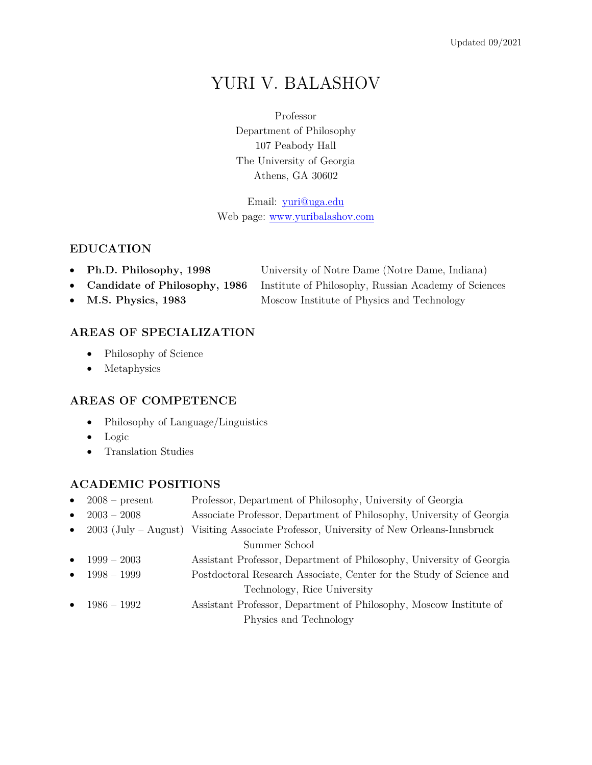# YURI V. BALASHOV

Professor Department of Philosophy 107 Peabody Hall The University of Georgia Athens, GA 30602

Email: yuri@uga.edu Web page: www.yuribalashov.com

#### **EDUCATION**

- **Ph.D. Philosophy, 1998** University of Notre Dame (Notre Dame, Indiana)
- **Candidate of Philosophy, 1986** Institute of Philosophy, Russian Academy of Sciences
- M.S. Physics, 1983 Moscow Institute of Physics and Technology

# **AREAS OF SPECIALIZATION**

- Philosophy of Science
- Metaphysics

#### **AREAS OF COMPETENCE**

- Philosophy of Language/Linguistics
- Logic
- Translation Studies

#### **ACADEMIC POSITIONS**

| $\bullet$ | $2008 - present$         | Professor, Department of Philosophy, University of Georgia           |
|-----------|--------------------------|----------------------------------------------------------------------|
| $\bullet$ | $2003 - 2008$            | Associate Professor, Department of Philosophy, University of Georgia |
|           | • $2003$ (July – August) | Visiting Associate Professor, University of New Orleans-Innsbruck    |
|           |                          | Summer School                                                        |
| $\bullet$ | $1999 - 2003$            | Assistant Professor, Department of Philosophy, University of Georgia |
|           | • $1998 - 1999$          | Postdoctoral Research Associate, Center for the Study of Science and |
|           |                          | Technology, Rice University                                          |
|           | • $1986 - 1992$          | Assistant Professor, Department of Philosophy, Moscow Institute of   |
|           |                          | Physics and Technology                                               |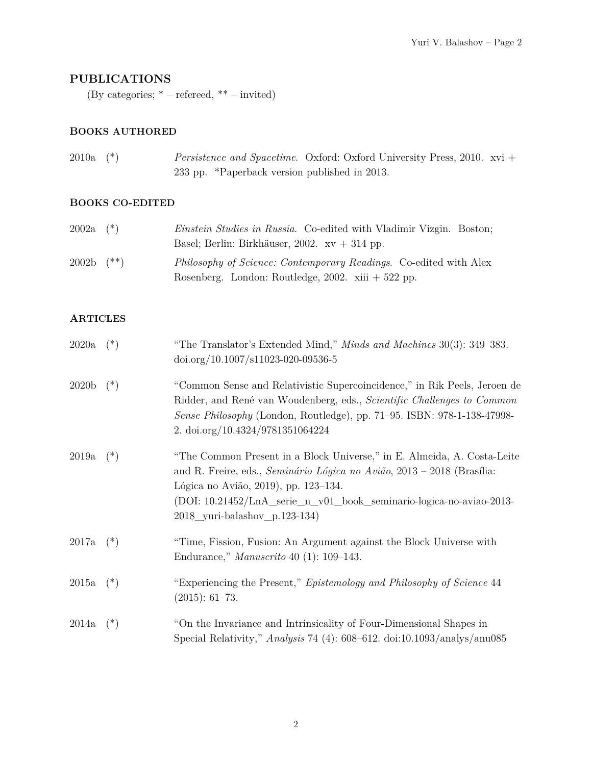## **PUBLICATIONS**

(By categories;  $*$  – refereed,  $**$  – invited)

#### **BOOKS AUTHORED**

| $2010a$ (*) | <i>Persistence and Spacetime.</i> Oxford: Oxford University Press, 2010. xvi + |
|-------------|--------------------------------------------------------------------------------|
|             | 233 pp. *Paperback version published in 2013.                                  |

#### **BOOKS CO-EDITED**

| $2002a$ $(*)$  | <i>Einstein Studies in Russia.</i> Co-edited with Vladimir Vizgin. Boston; |
|----------------|----------------------------------------------------------------------------|
|                | Basel; Berlin: Birkhäuser, 2002. $xy + 314$ pp.                            |
| $2002b$ $(**)$ | <i>Philosophy of Science: Contemporary Readings.</i> Co-edited with Alex   |
|                | Rosenberg. London: Routledge, 2002. xiii $+522$ pp.                        |

### **ARTICLES**

| 2020a             | $(\ast)$ | "The Translator's Extended Mind," <i>Minds and Machines</i> 30(3): 349–383.<br>$\frac{\text{doi.org}}{10.1007}$ /s11023-020-09536-5                                                                                                                                                                         |
|-------------------|----------|-------------------------------------------------------------------------------------------------------------------------------------------------------------------------------------------------------------------------------------------------------------------------------------------------------------|
| 2020 <sub>b</sub> | $(*)$    | "Common Sense and Relativistic Supercoincidence," in Rik Peels, Jeroen de<br>Ridder, and René van Woudenberg, eds., Scientific Challenges to Common<br>Sense Philosophy (London, Routledge), pp. 71-95. ISBN: 978-1-138-47998-<br>2. doi.org/10.4324/9781351064224                                          |
| 2019a             | $(\ast)$ | "The Common Present in a Block Universe," in E. Almeida, A. Costa-Leite<br>and R. Freire, eds., <i>Seminário Lógica no Avião</i> , $2013 - 2018$ (Brasília:<br>Lógica no Avião, 2019), pp. 123–134.<br>(DOI: 10.21452/LnA_serie_n_v01_book_seminario-logica-no-aviao-2013-<br>2018 yuri-balashov p.123-134) |
| 2017a             | $(\ast)$ | "Time, Fission, Fusion: An Argument against the Block Universe with<br>Endurance," Manuscrito 40 (1): 109-143.                                                                                                                                                                                              |
| 2015a             | $(\ast)$ | "Experiencing the Present," Epistemology and Philosophy of Science 44<br>$(2015): 61-73.$                                                                                                                                                                                                                   |
| 2014a             | $(*)$    | "On the Invariance and Intrinsicality of Four-Dimensional Shapes in<br>Special Relativity," Analysis 74 (4): 608-612. doi:10.1093/analys/anu085                                                                                                                                                             |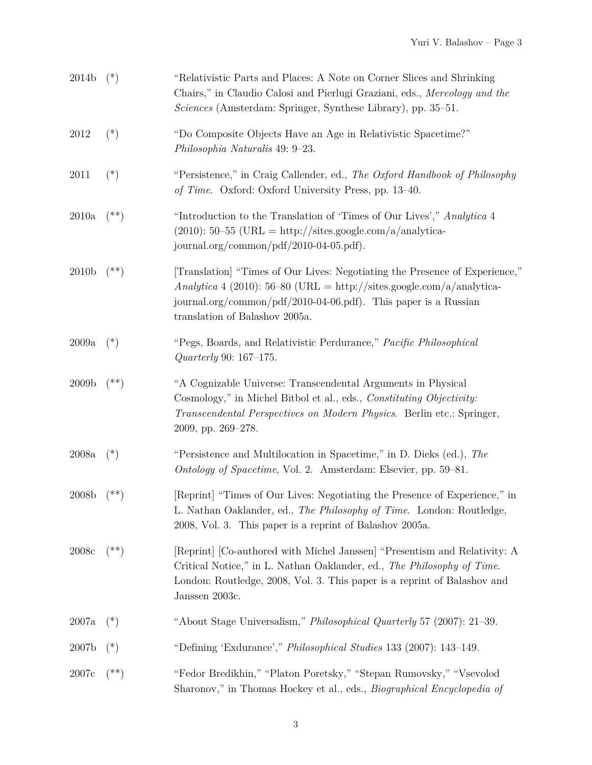| 2014b             | $(*)$     | "Relativistic Parts and Places: A Note on Corner Slices and Shrinking<br>Chairs," in Claudio Calosi and Pierlugi Graziani, eds., Mereology and the<br>Sciences (Amsterdam: Springer, Synthese Library), pp. 35–51.                                        |
|-------------------|-----------|-----------------------------------------------------------------------------------------------------------------------------------------------------------------------------------------------------------------------------------------------------------|
| 2012              | $(*)$     | "Do Composite Objects Have an Age in Relativistic Spacetime?"<br>Philosophia Naturalis 49: 9-23.                                                                                                                                                          |
| 2011              | $(*)$     | "Persistence," in Craig Callender, ed., The Oxford Handbook of Philosophy<br>of Time. Oxford: Oxford University Press, pp. 13-40.                                                                                                                         |
| 2010a             | $^{(**)}$ | "Introduction to the Translation of 'Times of Our Lives'," Analytica 4<br>$(2010): 50-55$ (URL = http://sites.google.com/a/analytica-<br>journal.org/common/pdf/2010-04-05.pdf).                                                                          |
| 2010 <sub>b</sub> | $^{(**)}$ | [Translation] "Times of Our Lives: Negotiating the Presence of Experience,"<br>Analytica 4 (2010): 56-80 (URL = http://sites.google.com/a/analytica-<br>journal.org/common/pdf/2010-04-06.pdf). This paper is a Russian<br>translation of Balashov 2005a. |
| 2009a             | $(*)$     | "Pegs, Boards, and Relativistic Perdurance," Pacific Philosophical<br><i>Quarterly</i> 90: 167–175.                                                                                                                                                       |
| 2009 <sub>b</sub> | $^{(**)}$ | "A Cognizable Universe: Transcendental Arguments in Physical<br>Cosmology," in Michel Bitbol et al., eds., Constituting Objectivity:<br>Transcendental Perspectives on Modern Physics. Berlin etc.: Springer,<br>2009, pp. 269-278.                       |
| 2008a             | $(*)$     | "Persistence and Multilocation in Spacetime," in D. Dieks (ed.), The<br>Ontology of Spacetime, Vol. 2. Amsterdam: Elsevier, pp. 59–81.                                                                                                                    |
| 2008b             | $^{(**)}$ | [Reprint] "Times of Our Lives: Negotiating the Presence of Experience," in<br>L. Nathan Oaklander, ed., The Philosophy of Time. London: Routledge,<br>2008, Vol. 3. This paper is a reprint of Balashov 2005a.                                            |
| $2008\mathrm{c}$  | $^{(**)}$ | [Reprint] [Co-authored with Michel Janssen] "Presentism and Relativity: A<br>Critical Notice," in L. Nathan Oaklander, ed., The Philosophy of Time.<br>London: Routledge, 2008, Vol. 3. This paper is a reprint of Balashov and<br>Janssen 2003c.         |
| 2007a             | $(*)$     | "About Stage Universalism," <i>Philosophical Quarterly</i> 57 (2007): 21–39.                                                                                                                                                                              |
| 2007b             | $(*)$     | "Defining 'Exdurance'," Philosophical Studies 133 (2007): 143-149.                                                                                                                                                                                        |
| 2007c             | $^{(**)}$ | "Fedor Bredikhin," "Platon Poretsky," "Stepan Rumovsky," "Vsevolod<br>Sharonov," in Thomas Hockey et al., eds., Biographical Encyclopedia of                                                                                                              |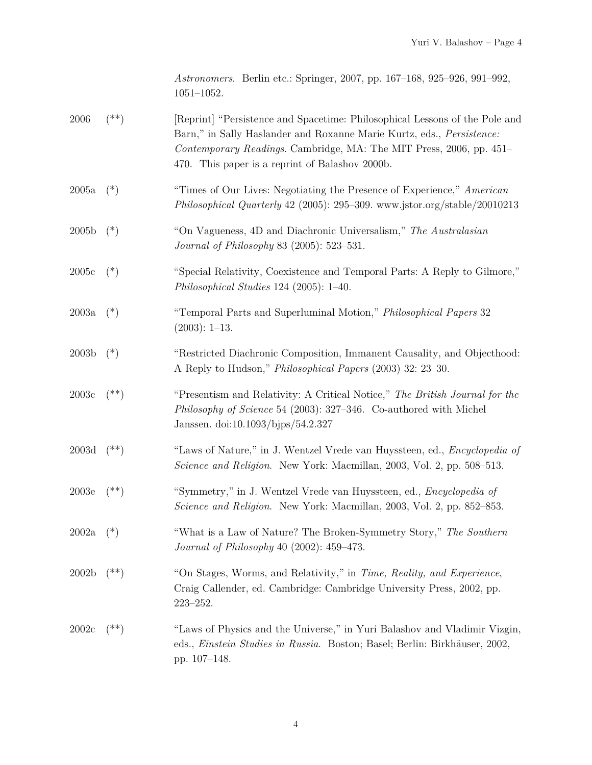|                | <i>Astronomers.</i> Berlin etc.: Springer, 2007, pp. 167–168, 925–926, 991–992, |  |  |
|----------------|---------------------------------------------------------------------------------|--|--|
| $1051 - 1052.$ |                                                                                 |  |  |

| $2006\,$          | $($ **)   | [Reprint] "Persistence and Spacetime: Philosophical Lessons of the Pole and<br>Barn," in Sally Haslander and Roxanne Marie Kurtz, eds., Persistence:<br>Contemporary Readings. Cambridge, MA: The MIT Press, 2006, pp. 451-<br>470. This paper is a reprint of Balashov 2000b. |
|-------------------|-----------|--------------------------------------------------------------------------------------------------------------------------------------------------------------------------------------------------------------------------------------------------------------------------------|
| 2005a             | $(*)$     | "Times of Our Lives: Negotiating the Presence of Experience," American<br>Philosophical Quarterly 42 (2005): 295-309. www.jstor.org/stable/20010213                                                                                                                            |
| 2005 <sub>b</sub> | $(*)$     | "On Vagueness, 4D and Diachronic Universalism," The Australasian<br><i>Journal of Philosophy</i> 83 (2005): 523-531.                                                                                                                                                           |
| 2005c             | $(*)$     | "Special Relativity, Coexistence and Temporal Parts: A Reply to Gilmore,"<br>Philosophical Studies $124$ (2005): $1-40$ .                                                                                                                                                      |
| 2003a             | $(*)$     | "Temporal Parts and Superluminal Motion," Philosophical Papers 32<br>$(2003): 1-13.$                                                                                                                                                                                           |
| 2003 <sub>b</sub> | $(*)$     | "Restricted Diachronic Composition, Immanent Causality, and Objecthood:<br>A Reply to Hudson," <i>Philosophical Papers</i> (2003) 32: 23-30.                                                                                                                                   |
| $2003\mathrm{c}$  | $^{(**)}$ | "Presentism and Relativity: A Critical Notice," The British Journal for the<br>Philosophy of Science 54 (2003): 327–346. Co-authored with Michel<br>Janssen. doi:10.1093/bjps/54.2.327                                                                                         |
| 2003d             | $(**)$    | "Laws of Nature," in J. Wentzel Vrede van Huyssteen, ed., Encyclopedia of<br>Science and Religion. New York: Macmillan, 2003, Vol. 2, pp. 508–513.                                                                                                                             |
| 2003e             | $^{(**)}$ | "Symmetry," in J. Wentzel Vrede van Huyssteen, ed., <i>Encyclopedia of</i><br>Science and Religion. New York: Macmillan, 2003, Vol. 2, pp. 852–853.                                                                                                                            |
| 2002a             | $(*)$     | "What is a Law of Nature? The Broken-Symmetry Story," The Southern<br>Journal of Philosophy 40 (2002): 459-473.                                                                                                                                                                |
| 2002 <sub>b</sub> | (**)      | "On Stages, Worms, and Relativity," in Time, Reality, and Experience,<br>Craig Callender, ed. Cambridge: Cambridge University Press, 2002, pp.<br>$223 - 252.$                                                                                                                 |
| 2002c             | $^{(**)}$ | "Laws of Physics and the Universe," in Yuri Balashov and Vladimir Vizgin,<br>eds., Einstein Studies in Russia. Boston; Basel; Berlin: Birkhäuser, 2002,<br>pp. 107–148.                                                                                                        |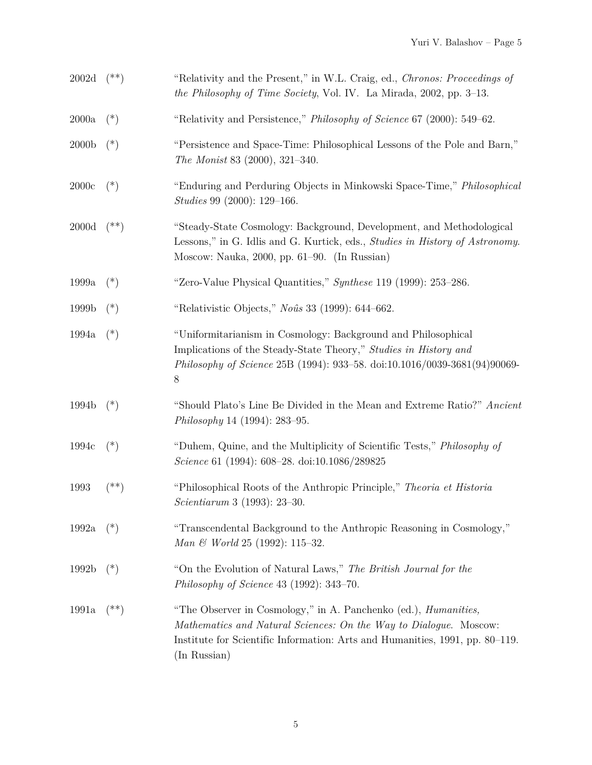| 2002d             | $(**)$    | "Relativity and the Present," in W.L. Craig, ed., Chronos: Proceedings of<br><i>the Philosophy of Time Society</i> , Vol. IV. La Mirada, 2002, pp. 3–13.                                                                                     |
|-------------------|-----------|----------------------------------------------------------------------------------------------------------------------------------------------------------------------------------------------------------------------------------------------|
| 2000a             | $(*)$     | "Relativity and Persistence," <i>Philosophy of Science</i> 67 (2000): 549–62.                                                                                                                                                                |
| 2000 <sub>b</sub> | $(*)$     | "Persistence and Space-Time: Philosophical Lessons of the Pole and Barn,"<br>The Monist 83 (2000), 321-340.                                                                                                                                  |
| $2000\mathrm{c}$  | $(*)$     | "Enduring and Perduring Objects in Minkowski Space-Time," Philosophical<br><i>Studies</i> 99 (2000): 129–166.                                                                                                                                |
| 2000d             | $($ **)   | "Steady-State Cosmology: Background, Development, and Methodological<br>Lessons," in G. Idlis and G. Kurtick, eds., Studies in History of Astronomy.<br>Moscow: Nauka, 2000, pp. $61-90$ . (In Russian)                                      |
| 1999a             | $(*)$     | "Zero-Value Physical Quantities," Synthese 119 (1999): 253–286.                                                                                                                                                                              |
| 1999b             | $(*)$     | "Relativistic Objects," No $\hat{u}$ s 33 (1999): 644–662.                                                                                                                                                                                   |
| 1994a             | $(*)$     | "Uniformitarianism in Cosmology: Background and Philosophical<br>Implications of the Steady-State Theory," Studies in History and<br>Philosophy of Science 25B (1994): 933-58. doi:10.1016/0039-3681(94)90069-<br>8                          |
| 1994b             | $(*)$     | "Should Plato's Line Be Divided in the Mean and Extreme Ratio?" Ancient<br><i>Philosophy</i> 14 (1994): 283–95.                                                                                                                              |
| 1994c             | $(*)$     | "Duhem, Quine, and the Multiplicity of Scientific Tests," Philosophy of<br>Science 61 (1994): 608–28. doi:10.1086/289825                                                                                                                     |
| 1993              | $(***)$   | "Philosophical Roots of the Anthropic Principle," Theoria et Historia"<br><i>Scientiarum</i> 3 (1993): 23–30.                                                                                                                                |
| 1992a             | $(*)$     | "Transcendental Background to the Anthropic Reasoning in Cosmology,"<br>Man & World 25 (1992): 115-32.                                                                                                                                       |
| 1992b             | $(*)$     | "On the Evolution of Natural Laws," The British Journal for the<br>Philosophy of Science 43 (1992): $343-70$ .                                                                                                                               |
| 1991a             | $^{(**)}$ | "The Observer in Cosmology," in A. Panchenko (ed.), <i>Humanities</i> ,<br>Mathematics and Natural Sciences: On the Way to Dialogue. Moscow:<br>Institute for Scientific Information: Arts and Humanities, 1991, pp. 80–119.<br>(In Russian) |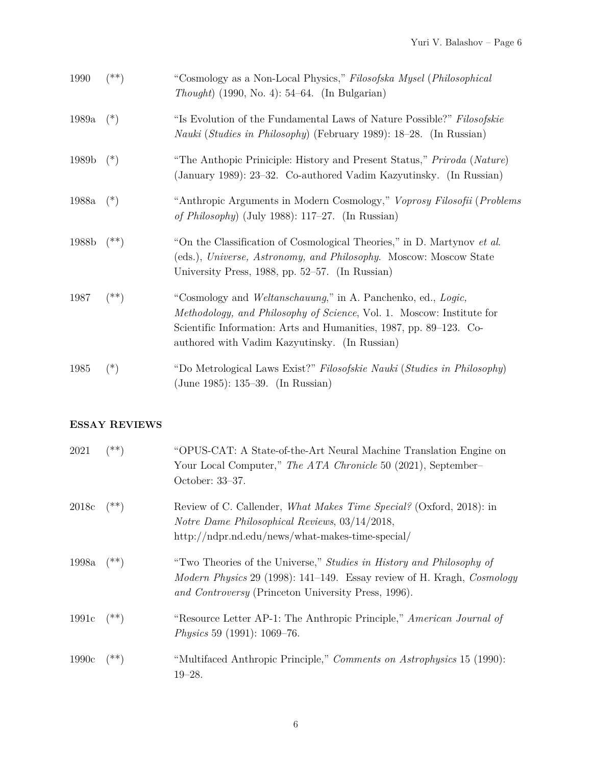| 1990  | (**)     | "Cosmology as a Non-Local Physics," Filosofska Mysel (Philosophical<br><i>Thought</i> ) (1990, No. 4): $54–64$ . (In Bulgarian)                                                                                                                                     |
|-------|----------|---------------------------------------------------------------------------------------------------------------------------------------------------------------------------------------------------------------------------------------------------------------------|
| 1989a | $(*)$    | "Is Evolution of the Fundamental Laws of Nature Possible?" Filosofskie<br><i>Nauki (Studies in Philosophy)</i> (February 1989): 18–28. (In Russian)                                                                                                                 |
| 1989b | $(*)$    | "The Anthopic Priniciple: History and Present Status," Priroda (Nature)<br>(January 1989): 23–32. Co-authored Vadim Kazyutinsky. (In Russian)                                                                                                                       |
| 1988a | $(*)$    | "Anthropic Arguments in Modern Cosmology," Voprosy Filosofii (Problems<br>of Philosophy) (July 1988): 117–27. (In Russian)                                                                                                                                          |
| 1988b | $($ **)  | "On the Classification of Cosmological Theories," in D. Martynov et al.<br>(eds.), Universe, Astronomy, and Philosophy. Moscow: Moscow State<br>University Press, 1988, pp. 52–57. (In Russian)                                                                     |
| 1987  | (**)     | "Cosmology and Weltanschauung," in A. Panchenko, ed., Logic,<br><i>Methodology, and Philosophy of Science, Vol. 1. Moscow: Institute for</i><br>Scientific Information: Arts and Humanities, 1987, pp. 89–123. Co-<br>authored with Vadim Kazyutinsky. (In Russian) |
| 1985  | $(\ast)$ | "Do Metrological Laws Exist?" Filosofskie Nauki (Studies in Philosophy)<br>(June 1985): 135–39. (In Russian)                                                                                                                                                        |

## **ESSAY REVIEWS**

| 2021         | $(**)$    | "OPUS-CAT: A State-of-the-Art Neural Machine Translation Engine on<br>Your Local Computer," The ATA Chronicle 50 (2021), September-<br>October: 33–37.                                                |
|--------------|-----------|-------------------------------------------------------------------------------------------------------------------------------------------------------------------------------------------------------|
| 2018c        | $(**)$    | Review of C. Callender, <i>What Makes Time Special?</i> (Oxford, 2018): in<br>Notre Dame Philosophical Reviews, 03/14/2018,<br>http://ndpr.nd.edu/news/what-makes-time-special/                       |
| 1998a $(**)$ |           | "Two Theories of the Universe," Studies in History and Philosophy of<br>Modern Physics 29 (1998): 141-149. Essay review of H. Kragh, Cosmology<br>and Controversy (Princeton University Press, 1996). |
| 1991c        | $(**)$    | "Resource Letter AP-1: The Anthropic Principle," American Journal of<br>Physics 59 $(1991)$ : 1069–76.                                                                                                |
| 1990c        | $^{(**)}$ | "Multifaced Anthropic Principle," Comments on Astrophysics 15 (1990):<br>$19 - 28.$                                                                                                                   |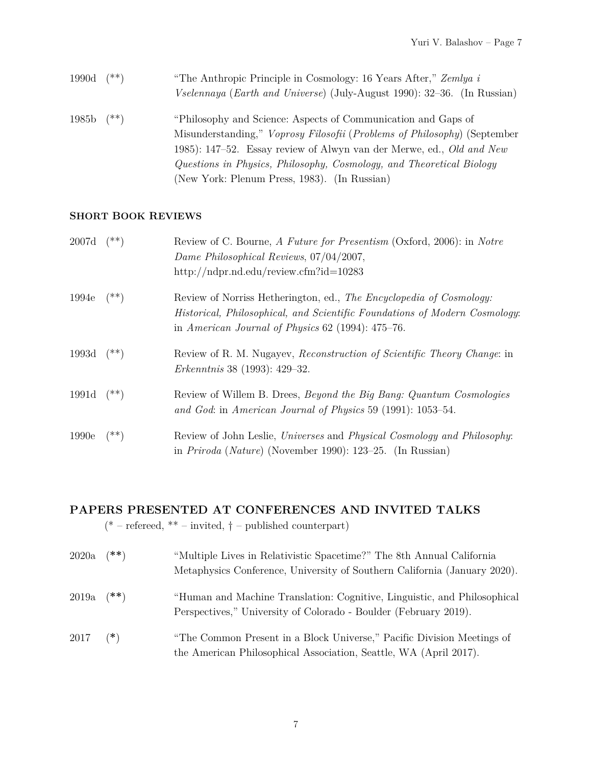| 1990d | (**)   | "The Anthropic Principle in Cosmology: 16 Years After," Zemlya i<br><i>Vselennaya</i> ( <i>Earth and Universe</i> ) (July-August 1990): 32–36. (In Russian)                                                                                                                                                                                      |
|-------|--------|--------------------------------------------------------------------------------------------------------------------------------------------------------------------------------------------------------------------------------------------------------------------------------------------------------------------------------------------------|
| 1985b | $(**)$ | "Philosophy and Science: Aspects of Communication and Gaps of<br>Misunderstanding," Voprosy Filosofii (Problems of Philosophy) (September<br>1985): 147–52. Essay review of Alwyn van der Merwe, ed., <i>Old and New</i><br>Questions in Physics, Philosophy, Cosmology, and Theoretical Biology<br>(New York: Plenum Press, 1983). (In Russian) |

#### **SHORT BOOK REVIEWS**

| 2007d | $(**)$    | Review of C. Bourne, A Future for Presentism (Oxford, 2006): in Notre<br>Dame Philosophical Reviews, 07/04/2007,                                                                                         |
|-------|-----------|----------------------------------------------------------------------------------------------------------------------------------------------------------------------------------------------------------|
|       |           | http://ndpr.nd.edu/review.cfm?id=10283                                                                                                                                                                   |
| 1994e | $(**)$    | Review of Norriss Hetherington, ed., The Encyclopedia of Cosmology:<br>Historical, Philosophical, and Scientific Foundations of Modern Cosmology:<br>in American Journal of Physics $62$ (1994): 475–76. |
| 1993d | $(**)$    | Review of R. M. Nugayev, Reconstruction of Scientific Theory Change: in<br><i>Erkenntnis</i> 38 (1993): 429–32.                                                                                          |
| 1991d | $(**)$    | Review of Willem B. Drees, <i>Beyond the Big Bang: Quantum Cosmologies</i><br>and God: in American Journal of Physics 59 (1991): 1053–54.                                                                |
| 1990e | $^{(**)}$ | Review of John Leslie, Universes and Physical Cosmology and Philosophy:<br>in <i>Priroda</i> ( <i>Nature</i> ) (November 1990): 123–25. (In Russian)                                                     |

# **PAPERS PRESENTED AT CONFERENCES AND INVITED TALKS**

(\* – refereed, \*\* – invited,  $\dagger$  – published counterpart)

| 2020a | ั**)   | "Multiple Lives in Relativistic Spacetime?" The 8th Annual California<br>Metaphysics Conference, University of Southern California (January 2020). |
|-------|--------|----------------------------------------------------------------------------------------------------------------------------------------------------|
| 2019a | $(**)$ | "Human and Machine Translation: Cognitive, Linguistic, and Philosophical<br>Perspectives," University of Colorado - Boulder (February 2019).       |
| 2017  | $(*)$  | "The Common Present in a Block Universe," Pacific Division Meetings of<br>the American Philosophical Association, Seattle, WA (April 2017).        |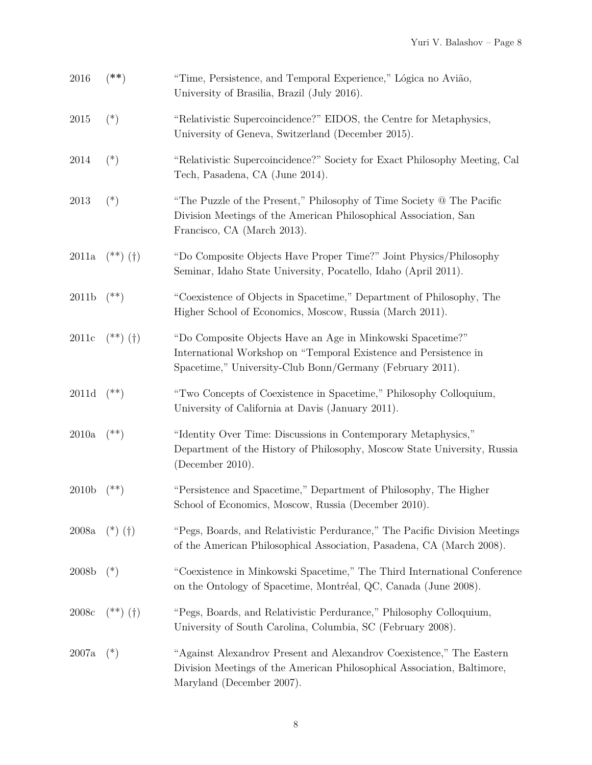| 2016              | $^{(\ast\ast)}$ | "Time, Persistence, and Temporal Experience," Lógica no Avião,<br>University of Brasilia, Brazil (July 2016).                                                                               |
|-------------------|-----------------|---------------------------------------------------------------------------------------------------------------------------------------------------------------------------------------------|
| 2015              | $(*)$           | "Relativistic Supercoincidence?" EIDOS, the Centre for Metaphysics,<br>University of Geneva, Switzerland (December 2015).                                                                   |
| 2014              | $(*)$           | "Relativistic Supercoincidence?" Society for Exact Philosophy Meeting, Cal<br>Tech, Pasadena, CA (June 2014).                                                                               |
| 2013              | $(*)$           | "The Puzzle of the Present," Philosophy of Time Society @ The Pacific<br>Division Meetings of the American Philosophical Association, San<br>Francisco, CA (March 2013).                    |
| 2011a             | $(**)$ (†)      | "Do Composite Objects Have Proper Time?" Joint Physics/Philosophy<br>Seminar, Idaho State University, Pocatello, Idaho (April 2011).                                                        |
| 2011b             | $(**)$          | "Coexistence of Objects in Spacetime," Department of Philosophy, The<br>Higher School of Economics, Moscow, Russia (March 2011).                                                            |
| 2011c             | $(**)$ (†)      | "Do Composite Objects Have an Age in Minkowski Spacetime?"<br>International Workshop on "Temporal Existence and Persistence in<br>Spacetime," University-Club Bonn/Germany (February 2011). |
| 2011d             | $(**)$          | "Two Concepts of Coexistence in Spacetime," Philosophy Colloquium,<br>University of California at Davis (January 2011).                                                                     |
| 2010a             | $^{(**)}$       | "Identity Over Time: Discussions in Contemporary Metaphysics,"<br>Department of the History of Philosophy, Moscow State University, Russia<br>(December 2010).                              |
| 2010 <sub>b</sub> | (**)            | "Persistence and Spacetime," Department of Philosophy, The Higher<br>School of Economics, Moscow, Russia (December 2010).                                                                   |
| 2008a             | $(*)$ (†)       | "Pegs, Boards, and Relativistic Perdurance," The Pacific Division Meetings<br>of the American Philosophical Association, Pasadena, CA (March 2008).                                         |
| 2008b             | $(*)$           | "Coexistence in Minkowski Spacetime," The Third International Conference<br>on the Ontology of Spacetime, Montréal, QC, Canada (June 2008).                                                 |
| 2008c             | $(**)$ (†)      | "Pegs, Boards, and Relativistic Perdurance," Philosophy Colloquium,<br>University of South Carolina, Columbia, SC (February 2008).                                                          |
| 2007a             | $(*)$           | "Against Alexandrov Present and Alexandrov Coexistence," The Eastern<br>Division Meetings of the American Philosophical Association, Baltimore,<br>Maryland (December 2007).                |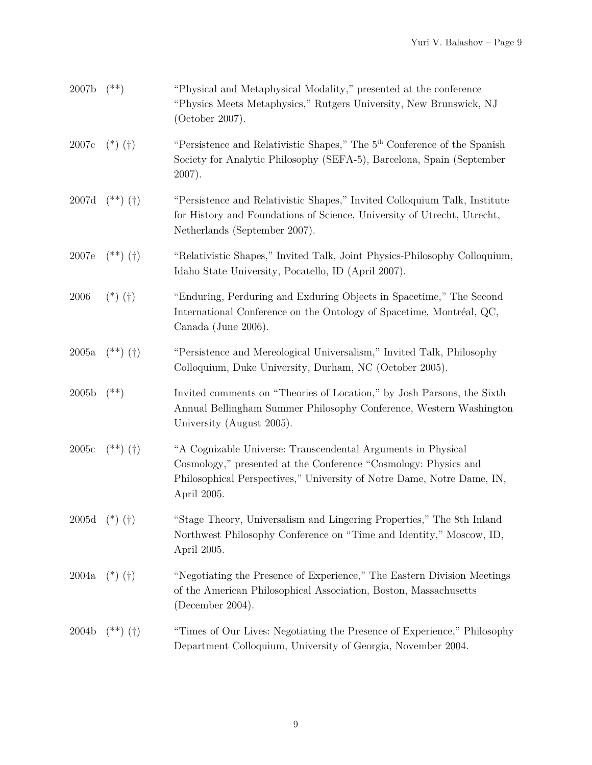| 2007 <sub>b</sub> | $(**)$                | "Physical and Metaphysical Modality," presented at the conference<br>"Physics Meets Metaphysics," Rutgers University, New Brunswick, NJ<br>(October 2007).                                                               |
|-------------------|-----------------------|--------------------------------------------------------------------------------------------------------------------------------------------------------------------------------------------------------------------------|
| 2007c             | $(*)$ (†)             | "Persistence and Relativistic Shapes," The 5 <sup>th</sup> Conference of the Spanish<br>Society for Analytic Philosophy (SEFA-5), Barcelona, Spain (September<br>$2007$ ).                                               |
| 2007d             | $(**)$ (†)            | "Persistence and Relativistic Shapes," Invited Colloquium Talk, Institute<br>for History and Foundations of Science, University of Utrecht, Utrecht,<br>Netherlands (September 2007).                                    |
| 2007e             | $(**)$ (†)            | "Relativistic Shapes," Invited Talk, Joint Physics-Philosophy Colloquium,<br>Idaho State University, Pocatello, ID (April 2007).                                                                                         |
| 2006              | $(*)$ (†)             | "Enduring, Perduring and Exduring Objects in Spacetime," The Second<br>International Conference on the Ontology of Spacetime, Montréal, QC,<br>Canada (June 2006).                                                       |
| 2005a             | $(**)$ (†)            | "Persistence and Mereological Universalism," Invited Talk, Philosophy<br>Colloquium, Duke University, Durham, NC (October 2005).                                                                                         |
| 2005 <sub>b</sub> | $(**)$                | Invited comments on "Theories of Location," by Josh Parsons, the Sixth<br>Annual Bellingham Summer Philosophy Conference, Western Washington<br>University (August 2005).                                                |
| 2005c             | $(**)$ (†)            | "A Cognizable Universe: Transcendental Arguments in Physical<br>Cosmology," presented at the Conference "Cosmology: Physics and<br>Philosophical Perspectives," University of Notre Dame, Notre Dame, IN,<br>April 2005. |
|                   | 2005d (*) $(\dagger)$ | "Stage Theory, Universalism and Lingering Properties," The 8th Inland<br>Northwest Philosophy Conference on "Time and Identity," Moscow, ID,<br>April 2005.                                                              |
| 2004a             | $(*)$ (†)             | "Negotiating the Presence of Experience," The Eastern Division Meetings<br>of the American Philosophical Association, Boston, Massachusetts<br>(December 2004).                                                          |
| 2004b             | $(**)$ (†)            | "Times of Our Lives: Negotiating the Presence of Experience," Philosophy<br>Department Colloquium, University of Georgia, November 2004.                                                                                 |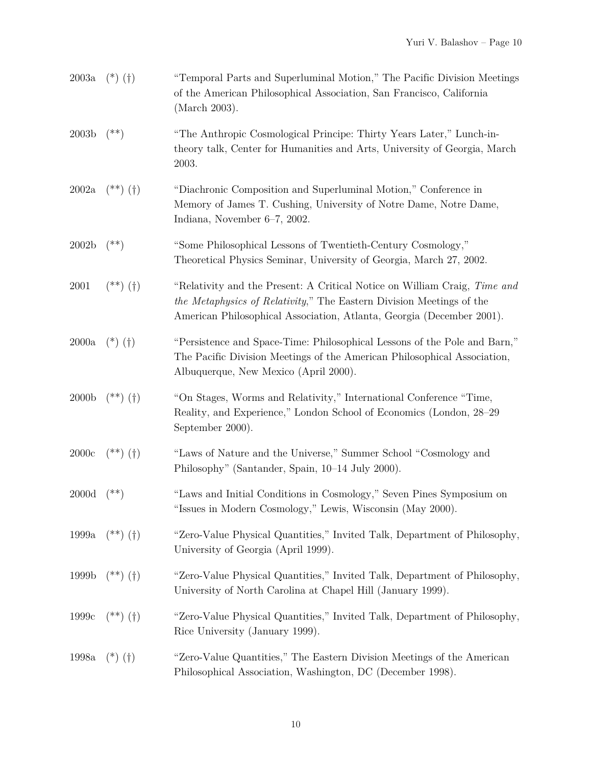| 2003a             | $(*)$ (†)  | "Temporal Parts and Superluminal Motion," The Pacific Division Meetings<br>of the American Philosophical Association, San Francisco, California<br>(March 2003).                                                           |
|-------------------|------------|----------------------------------------------------------------------------------------------------------------------------------------------------------------------------------------------------------------------------|
| 2003 <sub>b</sub> | $^{(**)}$  | "The Anthropic Cosmological Principe: Thirty Years Later," Lunch-in-<br>theory talk, Center for Humanities and Arts, University of Georgia, March<br>2003.                                                                 |
| 2002a             | $(**)$ (†) | "Diachronic Composition and Superluminal Motion," Conference in<br>Memory of James T. Cushing, University of Notre Dame, Notre Dame,<br>Indiana, November 6–7, 2002.                                                       |
| 2002 <sub>b</sub> | $^{(**)}$  | "Some Philosophical Lessons of Twentieth-Century Cosmology,"<br>Theoretical Physics Seminar, University of Georgia, March 27, 2002.                                                                                        |
| $2001\,$          | $(**)$ (†) | "Relativity and the Present: A Critical Notice on William Craig, Time and<br>the Metaphysics of Relativity," The Eastern Division Meetings of the<br>American Philosophical Association, Atlanta, Georgia (December 2001). |
| 2000a             | $(*)$ (†)  | "Persistence and Space-Time: Philosophical Lessons of the Pole and Barn,"<br>The Pacific Division Meetings of the American Philosophical Association,<br>Albuquerque, New Mexico (April 2000).                             |
| 2000 <sub>b</sub> | $(**)$ (†) | "On Stages, Worms and Relativity," International Conference "Time,<br>Reality, and Experience," London School of Economics (London, 28-29)<br>September 2000).                                                             |
| 2000c             | $(**)$ (†) | "Laws of Nature and the Universe," Summer School "Cosmology and<br>Philosophy" (Santander, Spain, 10-14 July 2000).                                                                                                        |
| $2000\mathrm{d}$  | $^{(**)}$  | "Laws and Initial Conditions in Cosmology," Seven Pines Symposium on<br>"Issues in Modern Cosmology," Lewis, Wisconsin (May 2000).                                                                                         |
| 1999a             | $(**)$ (†) | "Zero-Value Physical Quantities," Invited Talk, Department of Philosophy,<br>University of Georgia (April 1999).                                                                                                           |
| 1999b             | $(**)$ (†) | "Zero-Value Physical Quantities," Invited Talk, Department of Philosophy,<br>University of North Carolina at Chapel Hill (January 1999).                                                                                   |
| 1999c             | $(**)$ (†) | "Zero-Value Physical Quantities," Invited Talk, Department of Philosophy,<br>Rice University (January 1999).                                                                                                               |
| 1998a             | $(*)$ (†)  | "Zero-Value Quantities," The Eastern Division Meetings of the American<br>Philosophical Association, Washington, DC (December 1998).                                                                                       |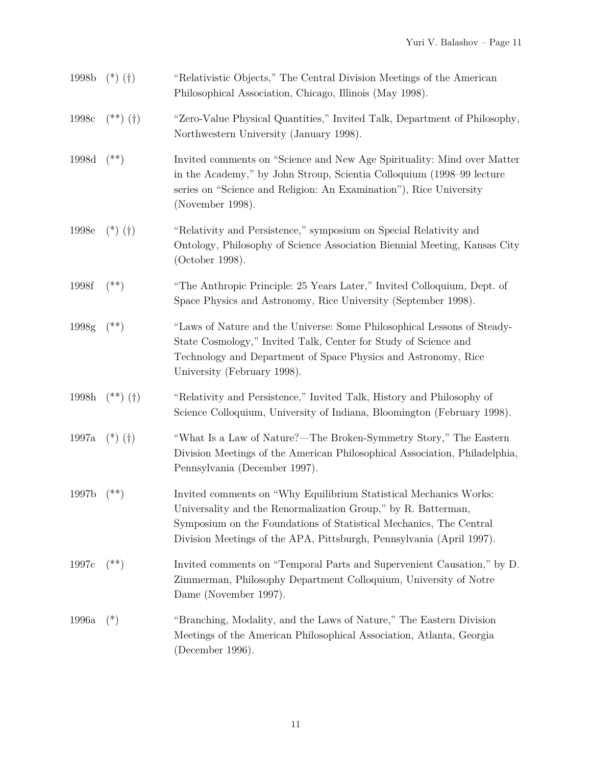| 1998b | $(*)$ (†)                                              | "Relativistic Objects," The Central Division Meetings of the American<br>Philosophical Association, Chicago, Illinois (May 1998).                                                                                                                                                |
|-------|--------------------------------------------------------|----------------------------------------------------------------------------------------------------------------------------------------------------------------------------------------------------------------------------------------------------------------------------------|
| 1998c | $\left( ^{\ast \ast }\right)$ $\left( \dagger \right)$ | "Zero-Value Physical Quantities," Invited Talk, Department of Philosophy,<br>Northwestern University (January 1998).                                                                                                                                                             |
| 1998d | $^{(**)}$                                              | Invited comments on "Science and New Age Spirituality: Mind over Matter<br>in the Academy," by John Stroup, Scientia Colloquium (1998–99 lecture<br>series on "Science and Religion: An Examination"), Rice University<br>(November 1998).                                       |
| 1998e | $(*)$ (†)                                              | "Relativity and Persistence," symposium on Special Relativity and<br>Ontology, Philosophy of Science Association Biennial Meeting, Kansas City<br>(October 1998).                                                                                                                |
| 1998f | $^{(**)}$                                              | "The Anthropic Principle: 25 Years Later," Invited Colloquium, Dept. of<br>Space Physics and Astronomy, Rice University (September 1998).                                                                                                                                        |
| 1998g | $^{(**)}$                                              | "Laws of Nature and the Universe: Some Philosophical Lessons of Steady-<br>State Cosmology," Invited Talk, Center for Study of Science and<br>Technology and Department of Space Physics and Astronomy, Rice<br>University (February 1998).                                      |
| 1998h | $(**)$ (†)                                             | "Relativity and Persistence," Invited Talk, History and Philosophy of<br>Science Colloquium, University of Indiana, Bloomington (February 1998).                                                                                                                                 |
| 1997a | $(*)$ $(\dagger)$                                      | "What Is a Law of Nature?—The Broken-Symmetry Story," The Eastern<br>Division Meetings of the American Philosophical Association, Philadelphia,<br>Pennsylvania (December 1997).                                                                                                 |
| 1997b | $^{(**)}$                                              | Invited comments on "Why Equilibrium Statistical Mechanics Works:<br>Universality and the Renormalization Group," by R. Batterman,<br>Symposium on the Foundations of Statistical Mechanics, The Central<br>Division Meetings of the APA, Pittsburgh, Pennsylvania (April 1997). |
| 1997c | $^{(**)}$                                              | Invited comments on "Temporal Parts and Supervenient Causation," by D.<br>Zimmerman, Philosophy Department Colloquium, University of Notre<br>Dame (November 1997).                                                                                                              |
| 1996a | $(*)$                                                  | "Branching, Modality, and the Laws of Nature," The Eastern Division<br>Meetings of the American Philosophical Association, Atlanta, Georgia<br>(December 1996).                                                                                                                  |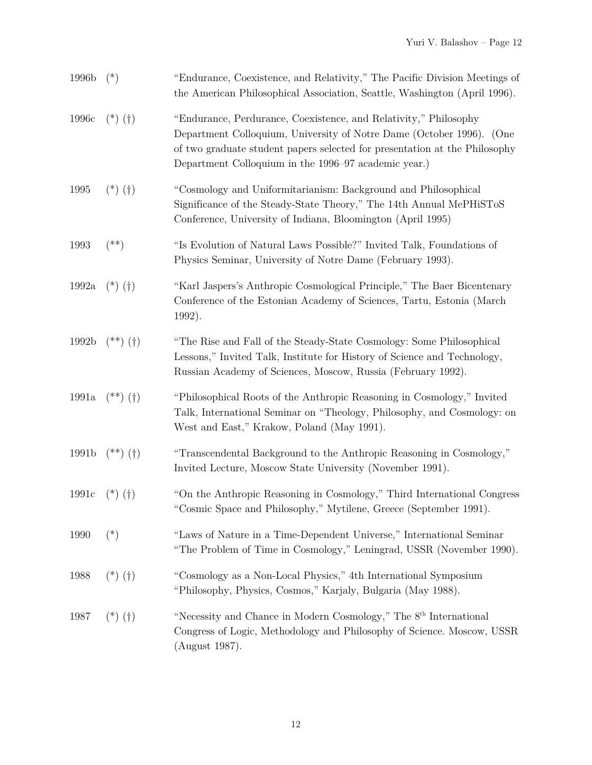| 1996b | $(*)$        | "Endurance, Coexistence, and Relativity," The Pacific Division Meetings of<br>the American Philosophical Association, Seattle, Washington (April 1996).                                                                                                                        |
|-------|--------------|--------------------------------------------------------------------------------------------------------------------------------------------------------------------------------------------------------------------------------------------------------------------------------|
| 1996c | $(*)$ (†)    | "Endurance, Perdurance, Coexistence, and Relativity," Philosophy<br>Department Colloquium, University of Notre Dame (October 1996). (One<br>of two graduate student papers selected for presentation at the Philosophy<br>Department Colloquium in the 1996–97 academic year.) |
| 1995  | $(*)$ (†)    | "Cosmology and Uniformitarianism: Background and Philosophical<br>Significance of the Steady-State Theory," The 14th Annual MePHiSToS<br>Conference, University of Indiana, Bloomington (April 1995)                                                                           |
| 1993  | $^{(**)}$    | "Is Evolution of Natural Laws Possible?" Invited Talk, Foundations of<br>Physics Seminar, University of Notre Dame (February 1993).                                                                                                                                            |
| 1992a | $(*)$ (†)    | "Karl Jaspers's Anthropic Cosmological Principle," The Baer Bicentenary<br>Conference of the Estonian Academy of Sciences, Tartu, Estonia (March)<br>1992).                                                                                                                    |
| 1992b | $(**)$ (†)   | "The Rise and Fall of the Steady-State Cosmology: Some Philosophical<br>Lessons," Invited Talk, Institute for History of Science and Technology,<br>Russian Academy of Sciences, Moscow, Russia (February 1992).                                                               |
| 1991a | $(**)$ (†)   | "Philosophical Roots of the Anthropic Reasoning in Cosmology," Invited<br>Talk, International Seminar on "Theology, Philosophy, and Cosmology: on<br>West and East," Krakow, Poland (May 1991).                                                                                |
| 1991b | $(**)$ $(+)$ | "Transcendental Background to the Anthropic Reasoning in Cosmology,"<br>Invited Lecture, Moscow State University (November 1991).                                                                                                                                              |
| 1991c | $(*)$ (†)    | "On the Anthropic Reasoning in Cosmology," Third International Congress<br>"Cosmic Space and Philosophy," Mytilene, Greece (September 1991).                                                                                                                                   |
| 1990  | $(*)$        | "Laws of Nature in a Time-Dependent Universe," International Seminar<br>"The Problem of Time in Cosmology," Leningrad, USSR (November 1990).                                                                                                                                   |
| 1988  | $(*)$ (†)    | "Cosmology as a Non-Local Physics," 4th International Symposium<br>"Philosophy, Physics, Cosmos," Karjaly, Bulgaria (May 1988).                                                                                                                                                |
| 1987  | $(*)$ (†)    | "Necessity and Chance in Modern Cosmology," The 8 <sup>th</sup> International<br>Congress of Logic, Methodology and Philosophy of Science. Moscow, USSR<br>(August 1987).                                                                                                      |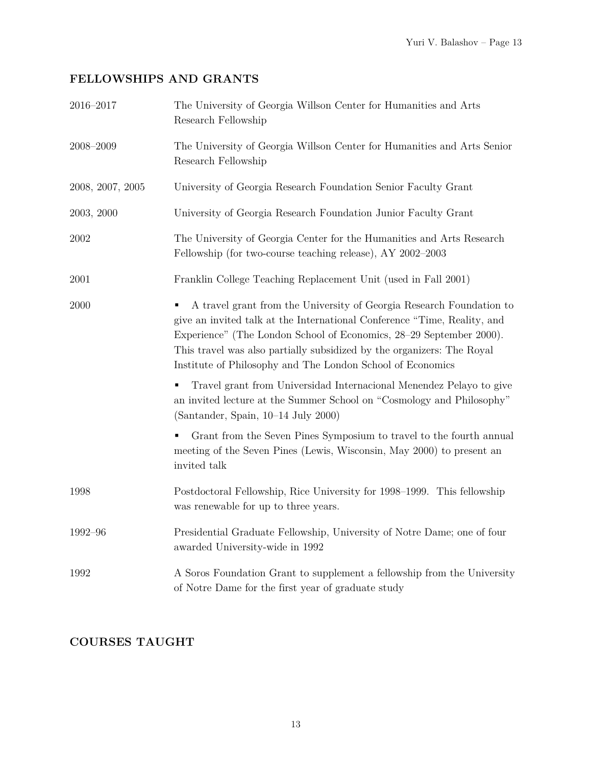# **FELLOWSHIPS AND GRANTS**

| 2016-2017        | The University of Georgia Willson Center for Humanities and Arts<br>Research Fellowship                                                                                                                                                                                                                                                                                                                                                                                                                         |
|------------------|-----------------------------------------------------------------------------------------------------------------------------------------------------------------------------------------------------------------------------------------------------------------------------------------------------------------------------------------------------------------------------------------------------------------------------------------------------------------------------------------------------------------|
| $2008 - 2009$    | The University of Georgia Willson Center for Humanities and Arts Senior<br>Research Fellowship                                                                                                                                                                                                                                                                                                                                                                                                                  |
| 2008, 2007, 2005 | University of Georgia Research Foundation Senior Faculty Grant                                                                                                                                                                                                                                                                                                                                                                                                                                                  |
| 2003, 2000       | University of Georgia Research Foundation Junior Faculty Grant                                                                                                                                                                                                                                                                                                                                                                                                                                                  |
| 2002             | The University of Georgia Center for the Humanities and Arts Research<br>Fellowship (for two-course teaching release), AY 2002-2003                                                                                                                                                                                                                                                                                                                                                                             |
| 2001             | Franklin College Teaching Replacement Unit (used in Fall 2001)                                                                                                                                                                                                                                                                                                                                                                                                                                                  |
| 2000             | A travel grant from the University of Georgia Research Foundation to<br>give an invited talk at the International Conference "Time, Reality, and<br>Experience" (The London School of Economics, 28–29 September 2000).<br>This travel was also partially subsidized by the organizers: The Royal<br>Institute of Philosophy and The London School of Economics<br>Travel grant from Universidad Internacional Menendez Pelayo to give<br>an invited lecture at the Summer School on "Cosmology and Philosophy" |
|                  | (Santander, Spain, 10-14 July 2000)                                                                                                                                                                                                                                                                                                                                                                                                                                                                             |
|                  | Grant from the Seven Pines Symposium to travel to the fourth annual<br>meeting of the Seven Pines (Lewis, Wisconsin, May 2000) to present an<br>invited talk                                                                                                                                                                                                                                                                                                                                                    |
| 1998             | Postdoctoral Fellowship, Rice University for 1998–1999. This fellowship<br>was renewable for up to three years.                                                                                                                                                                                                                                                                                                                                                                                                 |
| 1992-96          | Presidential Graduate Fellowship, University of Notre Dame; one of four<br>awarded University-wide in 1992                                                                                                                                                                                                                                                                                                                                                                                                      |
| 1992             | A Soros Foundation Grant to supplement a fellowship from the University<br>of Notre Dame for the first year of graduate study                                                                                                                                                                                                                                                                                                                                                                                   |

# **COURSES TAUGHT**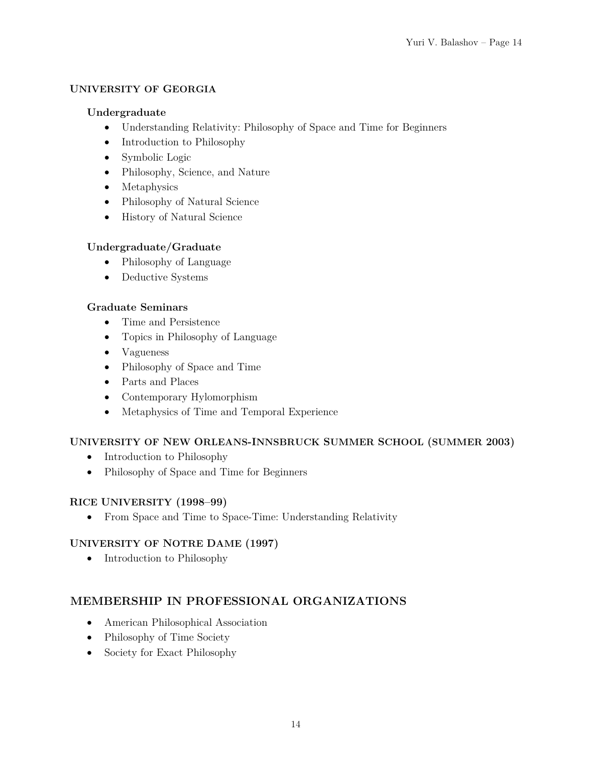#### **UNIVERSITY OF GEORGIA**

#### **Undergraduate**

- Understanding Relativity: Philosophy of Space and Time for Beginners
- Introduction to Philosophy
- Symbolic Logic
- Philosophy, Science, and Nature
- Metaphysics
- Philosophy of Natural Science
- History of Natural Science

#### **Undergraduate/Graduate**

- Philosophy of Language
- Deductive Systems

#### **Graduate Seminars**

- Time and Persistence
- Topics in Philosophy of Language
- Vagueness
- Philosophy of Space and Time
- Parts and Places
- Contemporary Hylomorphism
- Metaphysics of Time and Temporal Experience

#### **UNIVERSITY OF NEW ORLEANS-INNSBRUCK SUMMER SCHOOL (SUMMER 2003)**

- Introduction to Philosophy
- Philosophy of Space and Time for Beginners

#### **RICE UNIVERSITY (1998–99)**

• From Space and Time to Space-Time: Understanding Relativity

#### **UNIVERSITY OF NOTRE DAME (1997)**

• Introduction to Philosophy

## **MEMBERSHIP IN PROFESSIONAL ORGANIZATIONS**

- American Philosophical Association
- Philosophy of Time Society
- Society for Exact Philosophy